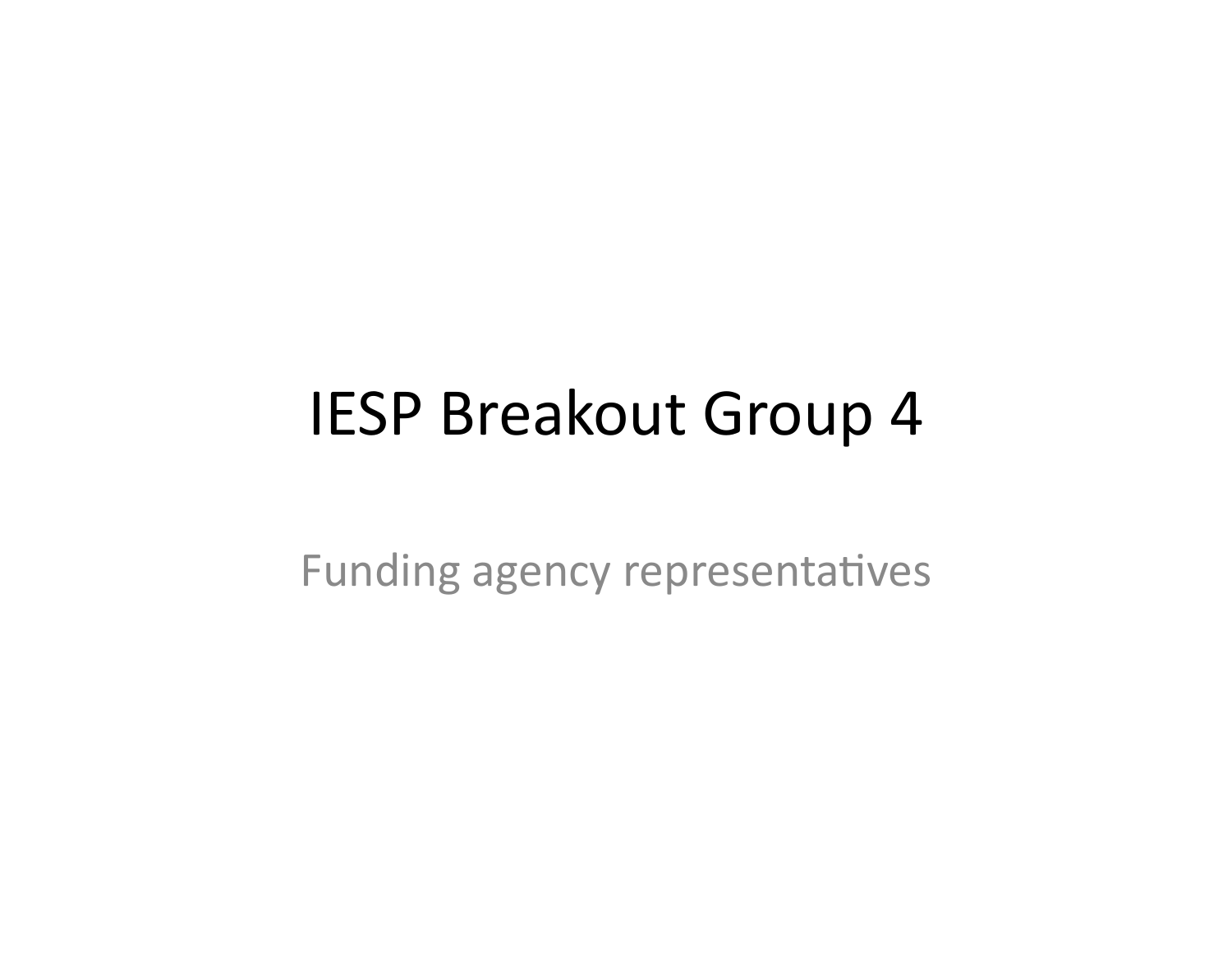#### IESP Breakout Group 4

Funding agency representatives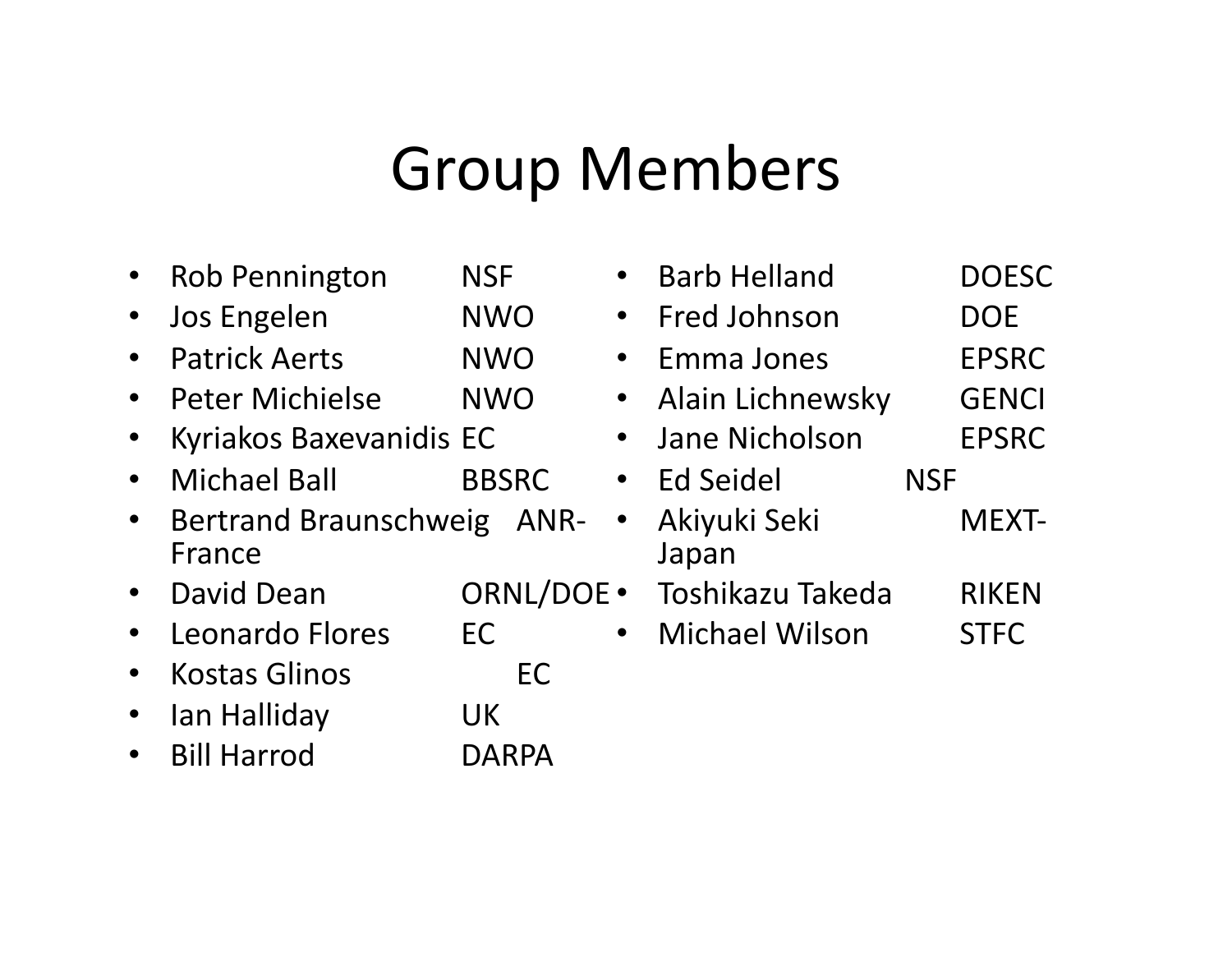#### **Group Members**

- Rob Pennington NSF
- Jos Engelen MWO
- Patrick Aerts MWO
- Peter Michielse NWO
- Kyriakos Baxevanidis EC%
- Michael Ball **BBSRC**
- Bertrand Braunschweig AN France%
- David%Dean % %ORNL/DOE%
- Leonardo Flores EC
- Kostas Glinos 6 MEC
- Ian Halliday **UK**
- Bill Harrod **DARPA**

|    | <b>Barb Helland</b>   |            | <b>DOESC</b> |
|----|-----------------------|------------|--------------|
|    | Fred Johnson          |            | DOE          |
|    | Emma Jones            |            | <b>EPSRC</b> |
|    | Alain Lichnewsky      |            | <b>GENCI</b> |
|    | Jane Nicholson        |            | <b>EPSRC</b> |
|    | Ed Seidel             | <b>NSF</b> |              |
| R- | Akiyuki Seki<br>Japan |            | <b>MEXT-</b> |
| UF | Toshikazu Takeda      |            | <b>RIKEN</b> |
|    | <b>Michael Wilson</b> |            | <b>STFC</b>  |
|    |                       |            |              |
|    |                       |            |              |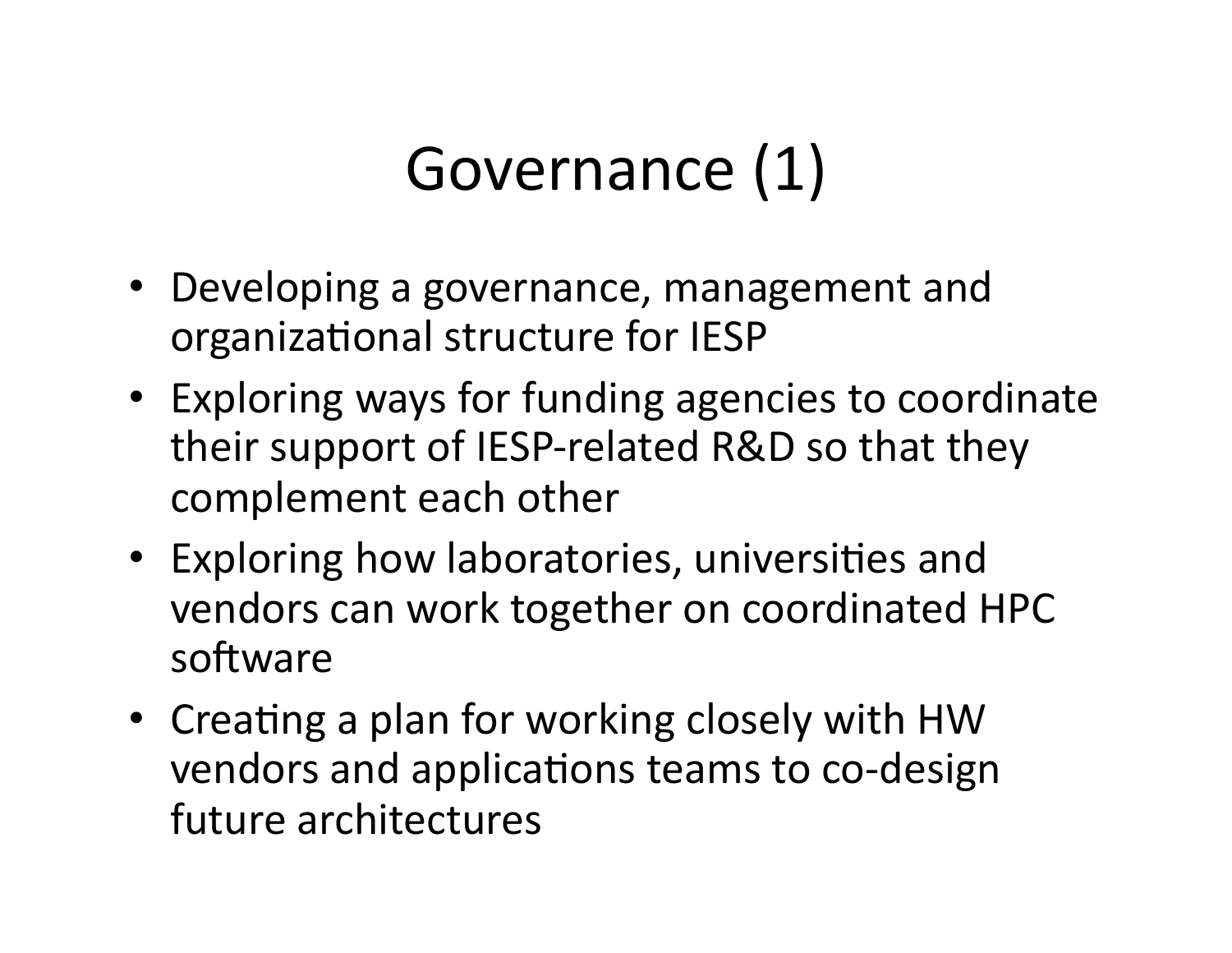# Governance (1)

- Developing a governance, management and organizational structure for IESP
- Exploring ways for funding agencies to coordinate their support of IESP-related R&D so that they complement each other
- Exploring how laboratories, universities and vendors can work together on coordinated HPC software
- Creating a plan for working closely with HW vendors and applications teams to co-design future architectures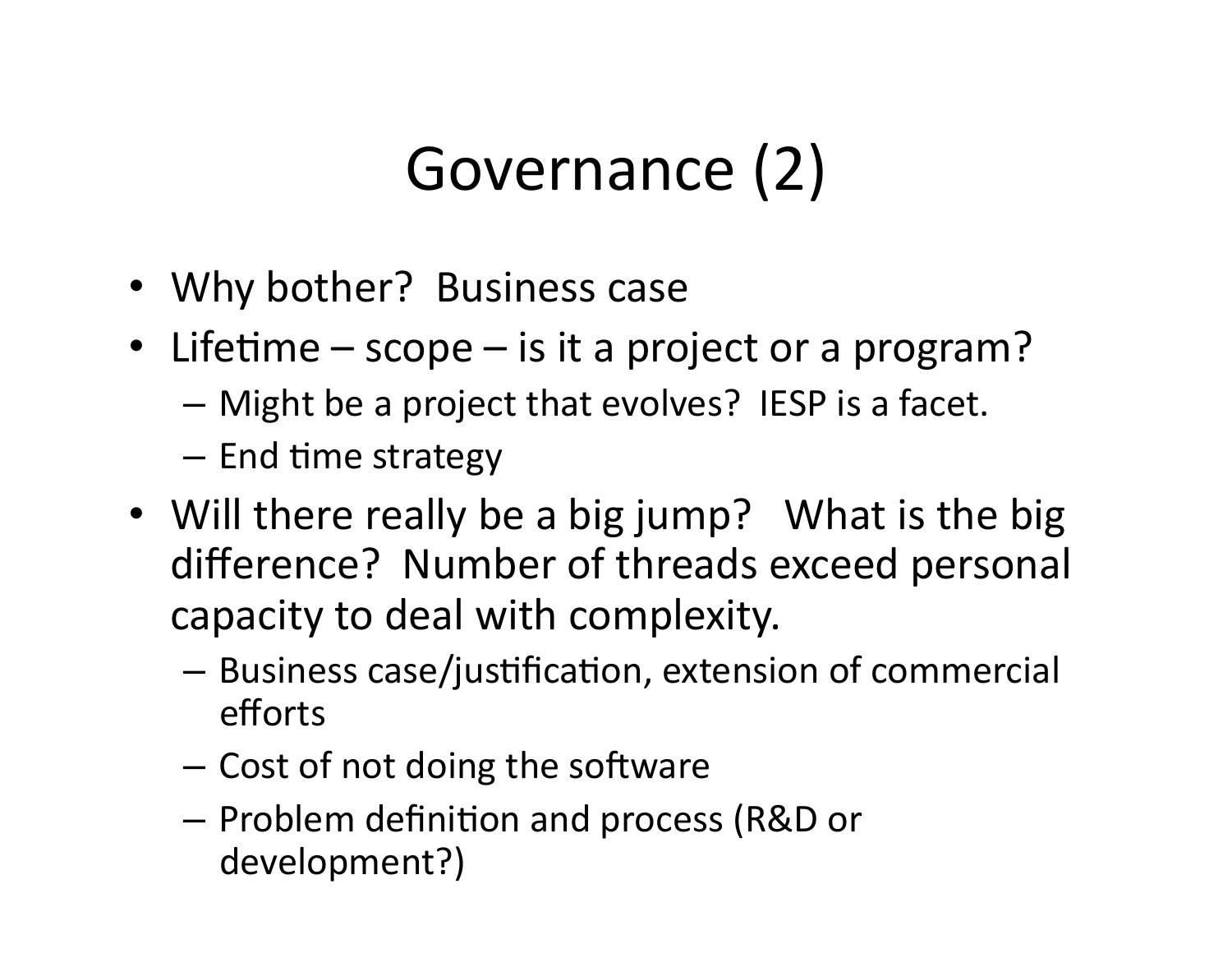# Governance (2)

- Why bother? Business case
- Lifetime scope is it a project or a program?
	- $-$  Might be a project that evolves? IESP is a facet.
	- $-$  End time strategy
- Will there really be a big jump? What is the big difference? Number of threads exceed personal capacity to deal with complexity.
	- Business case/justification, extension of commercial efforts
	- $-$  Cost of not doing the software
	- $-$  Problem definition and process (R&D or development?)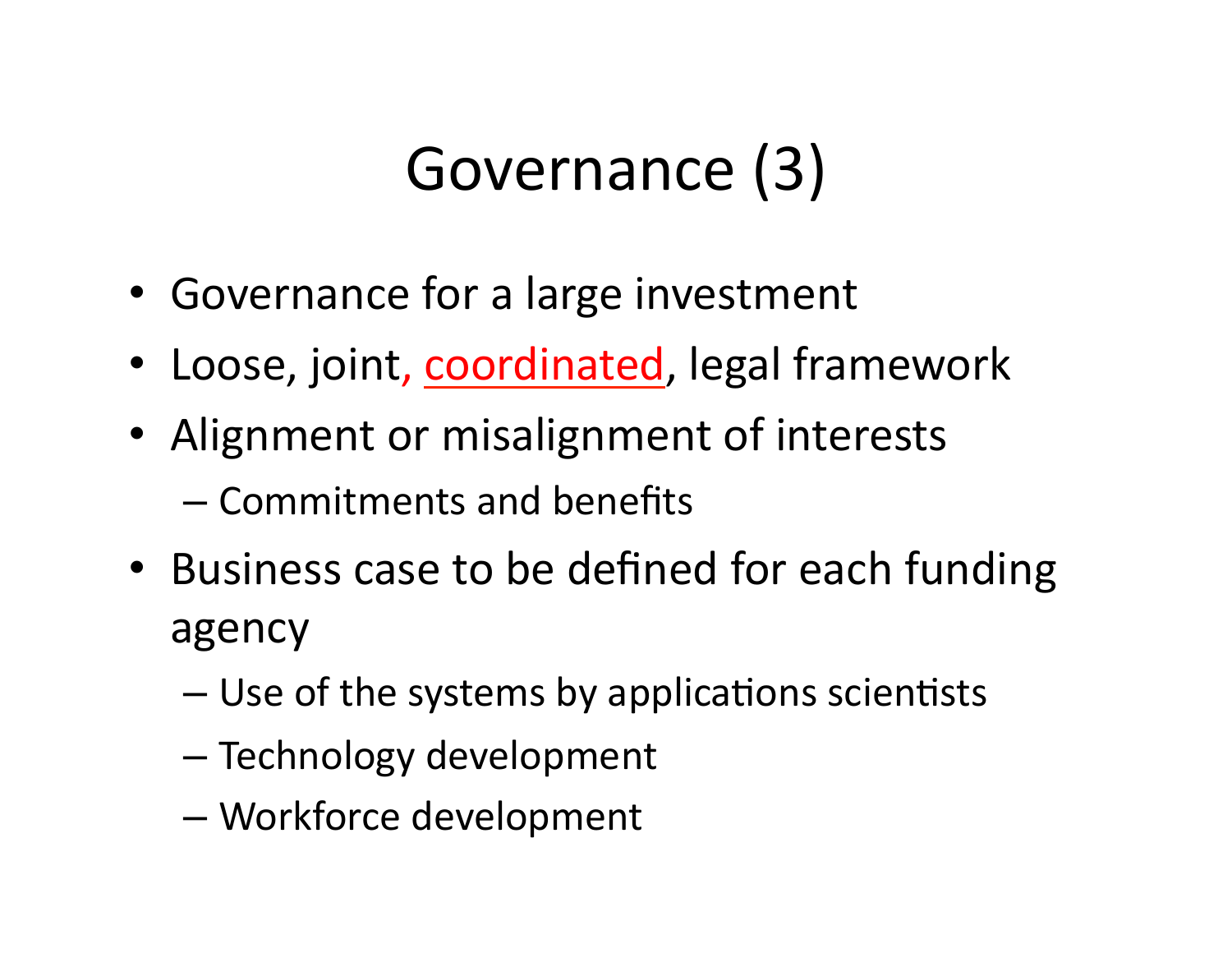# Governance (3)

- Governance for a large investment
- Loose, joint, coordinated, legal framework
- Alignment or misalignment of interests
	- $-$  Commitments and benefits
- Business case to be defined for each funding agency
	- $-$  Use of the systems by applications scientists
	- Technology development
	- Workforce development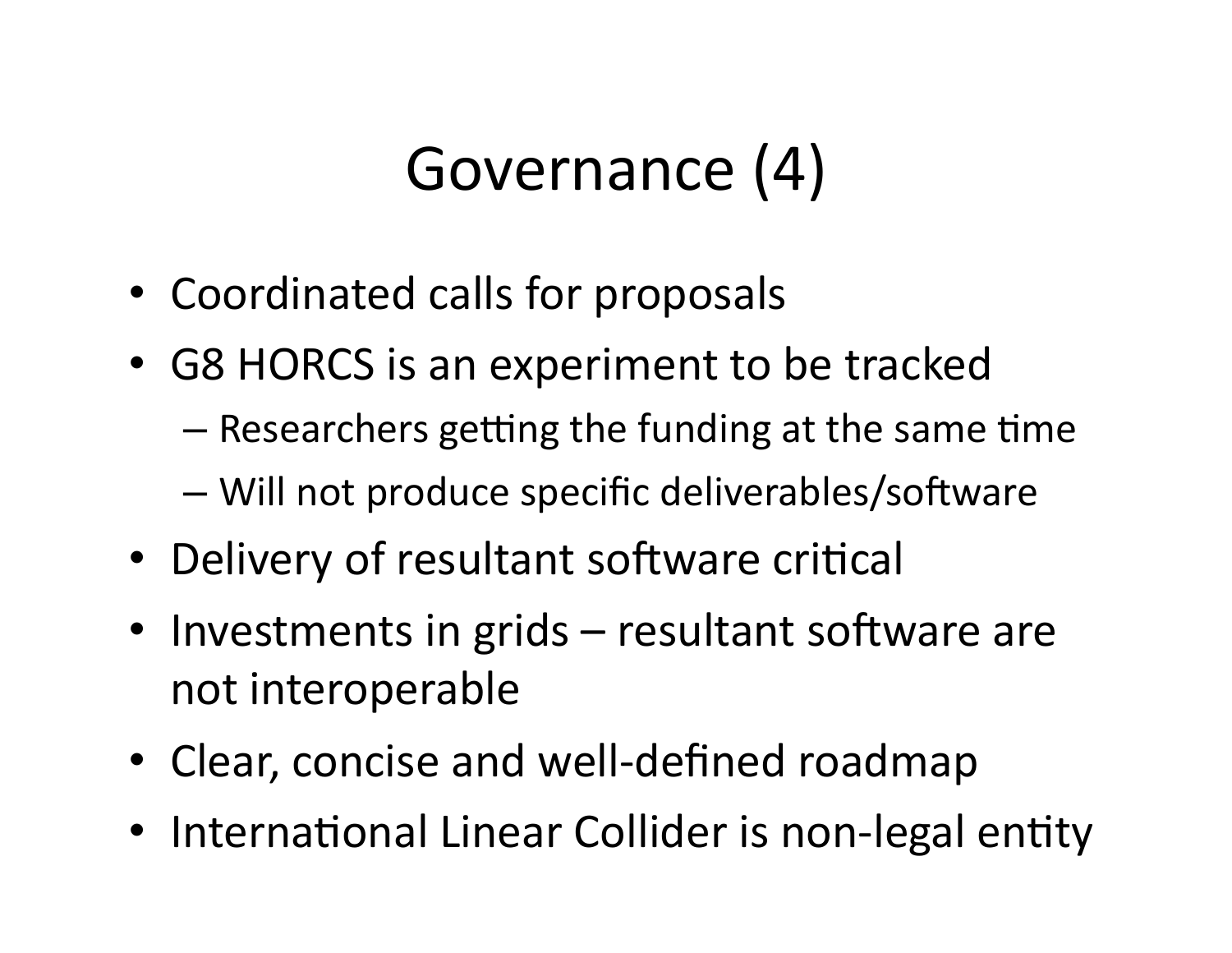# Governance (4)

- Coordinated calls for proposals
- G8 HORCS is an experiment to be tracked
	- $-$  Researchers getting the funding at the same time
	- $-$  Will not produce specific deliverables/software
- Delivery of resultant software critical
- Investments in grids resultant software are not interoperable
- Clear, concise and well-defined roadmap
- International Linear Collider is non-legal entity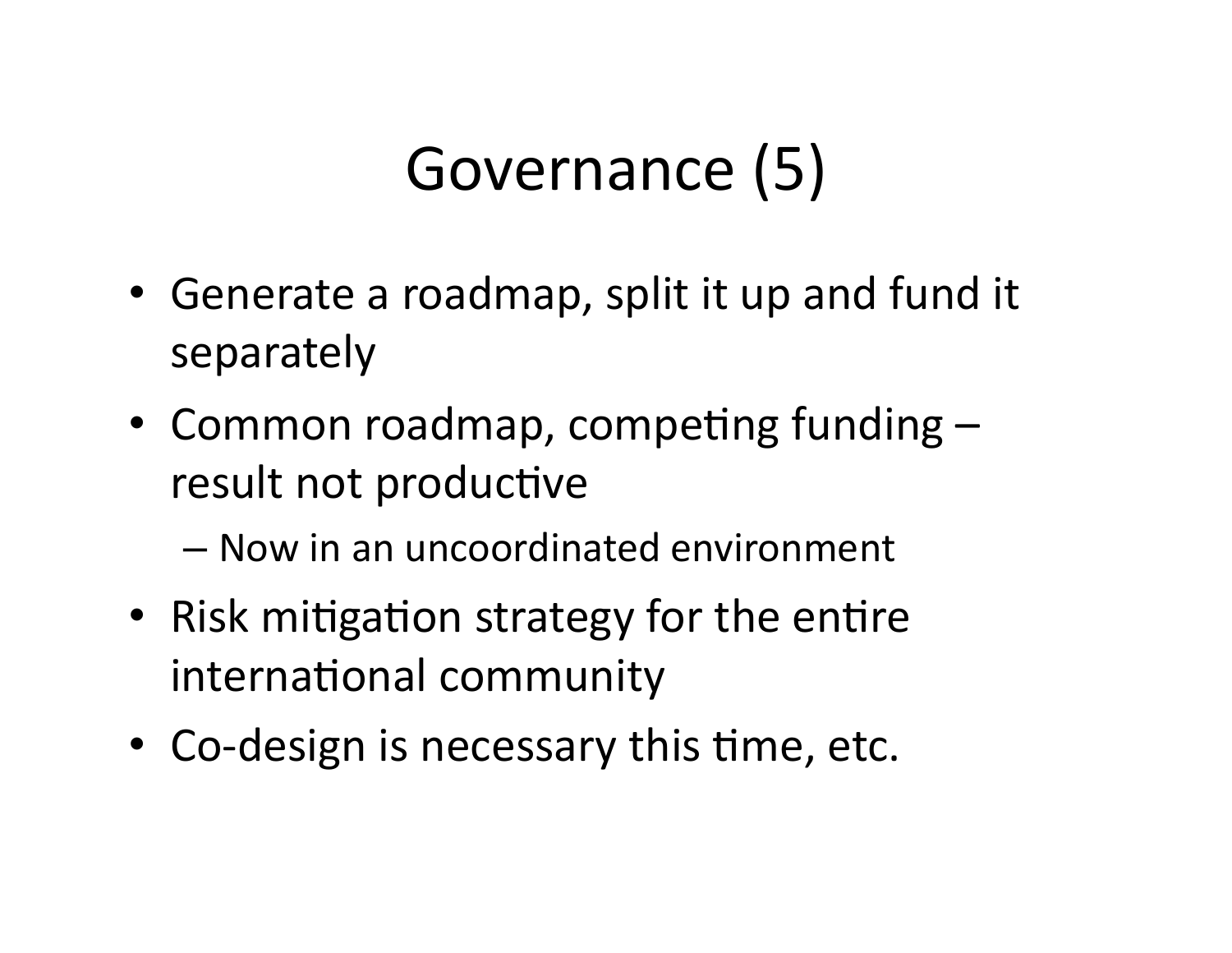# Governance (5)

- Generate a roadmap, split it up and fund it separately
- Common roadmap, competing funding  $$ result not productive
	- $-$  Now in an uncoordinated environment
- Risk mitigation strategy for the entire international community
- Co-design is necessary this time, etc.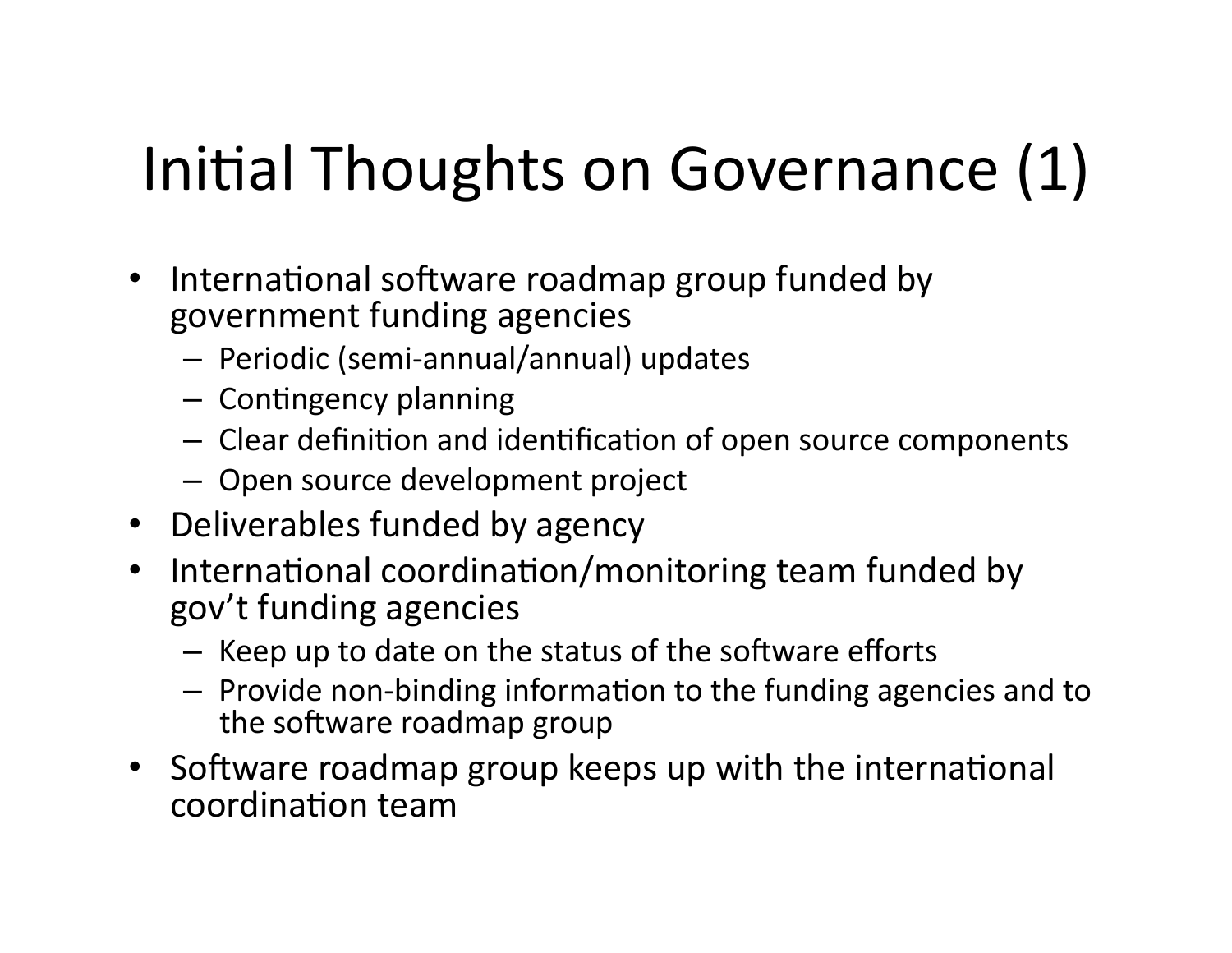# Initial Thoughts on Governance (1)

- International software roadmap group funded by government funding agencies
	- $-$  Periodic (semi-annual/annual) updates
	- $-$  Contingency planning
	- $-$  Clear definition and identification of open source components
	- $-$  Open source development project
- Deliverables funded by agency
- International coordination/monitoring team funded by gov't funding agencies
	- $-$  Keep up to date on the status of the software efforts
	- $-$  Provide non-binding information to the funding agencies and to the software roadmap group
- Software roadmap group keeps up with the international coordination team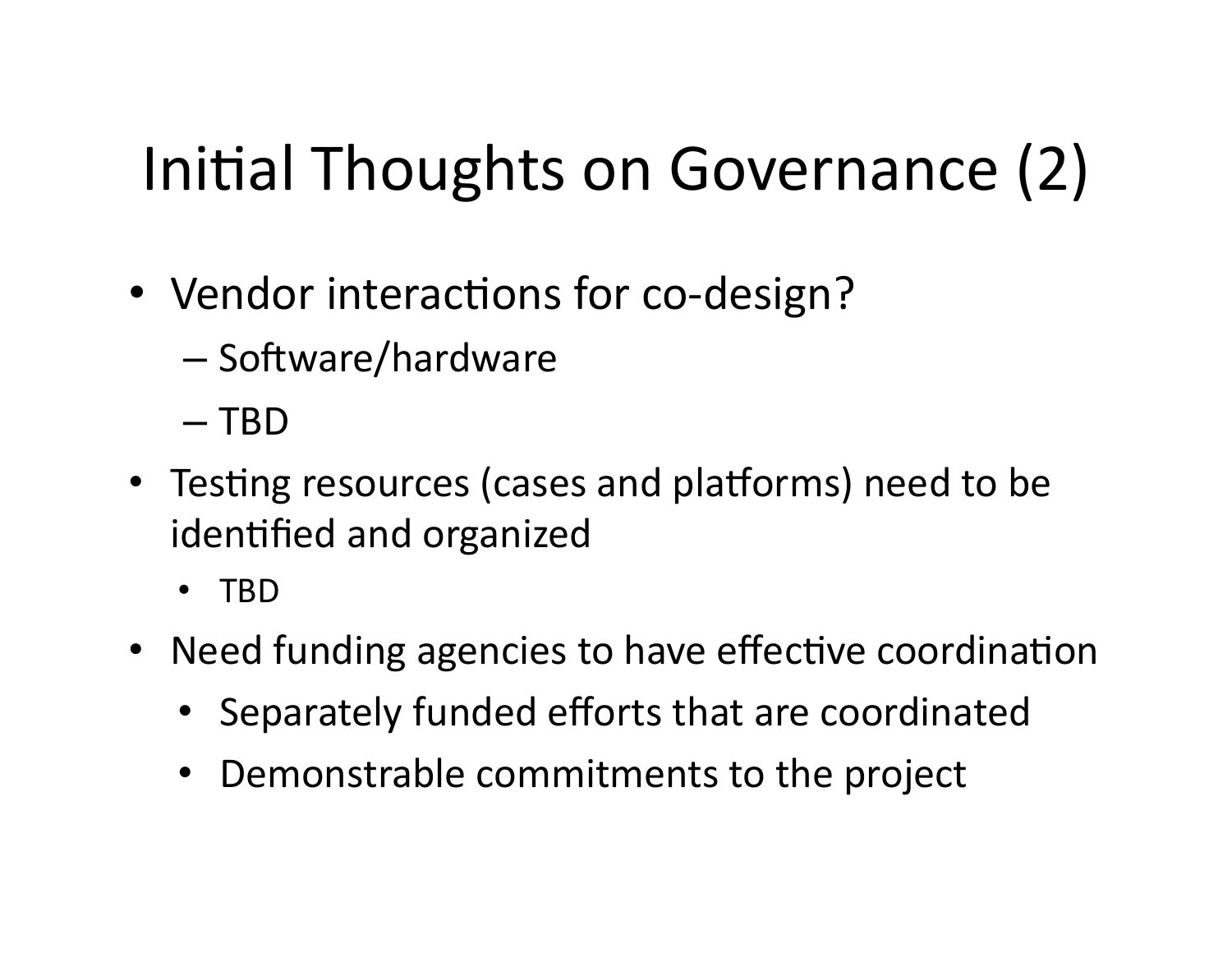# Initial Thoughts on Governance (2)

- Vendor interactions for co-design?
	- Software/hardware
	- $-$  TBD
- Testing resources (cases and platforms) need to be identified and organized
	- TBD%
- Need funding agencies to have effective coordination
	- Separately funded efforts that are coordinated
	- Demonstrable commitments to the project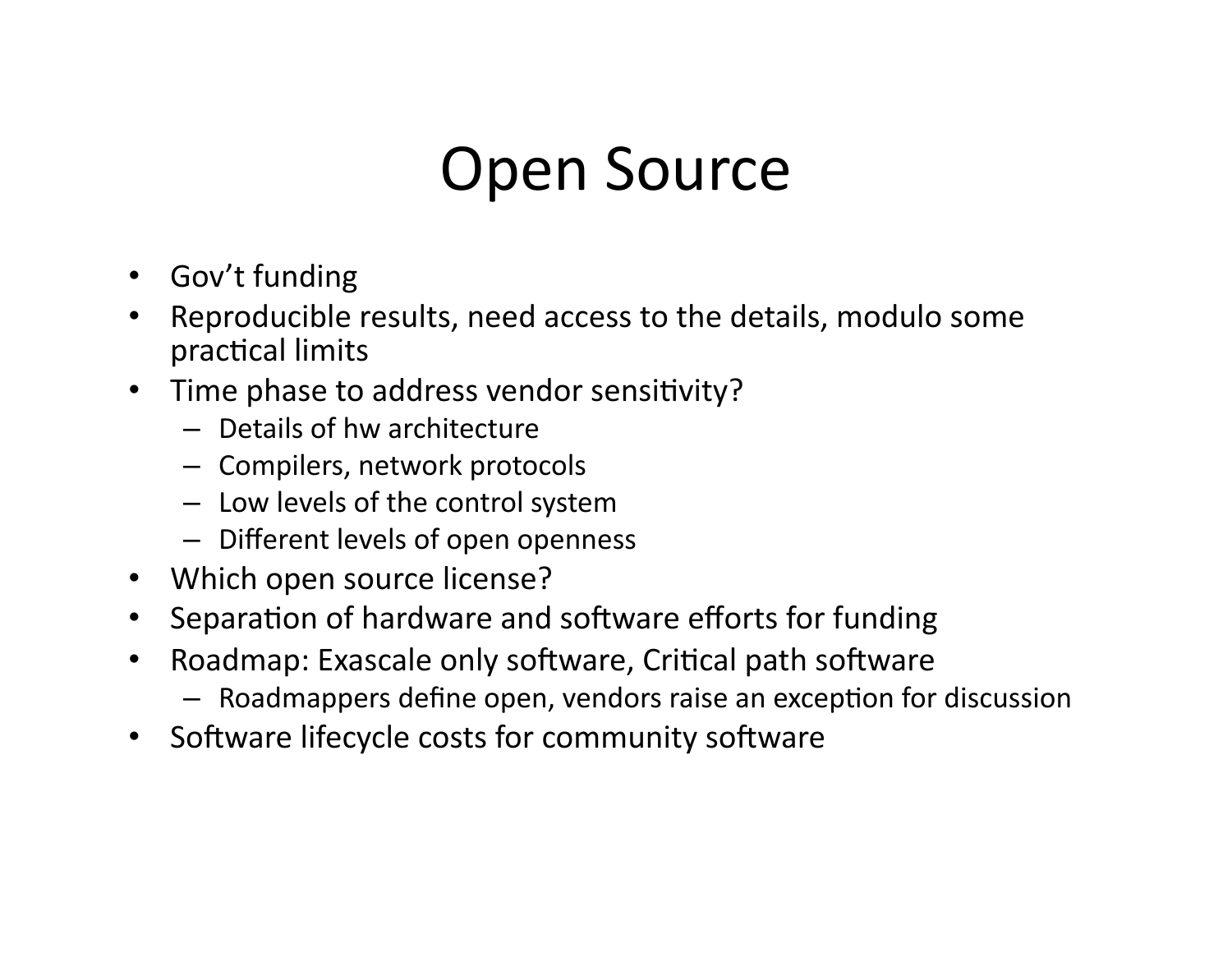## Open Source

- Gov't funding
- Reproducible results, need access to the details, modulo some practical limits
- Time phase to address vendor sensitivity?
	- $-$  Details of hw architecture
	- Compilers, network protocols
	- $-$  Low levels of the control system
	- $-$  Different levels of open openness
- Which open source license?
- Separation of hardware and software efforts for funding
- Roadmap: Exascale only software, Critical path software
	- $-$  Roadmappers define open, vendors raise an exception for discussion
- Software lifecycle costs for community software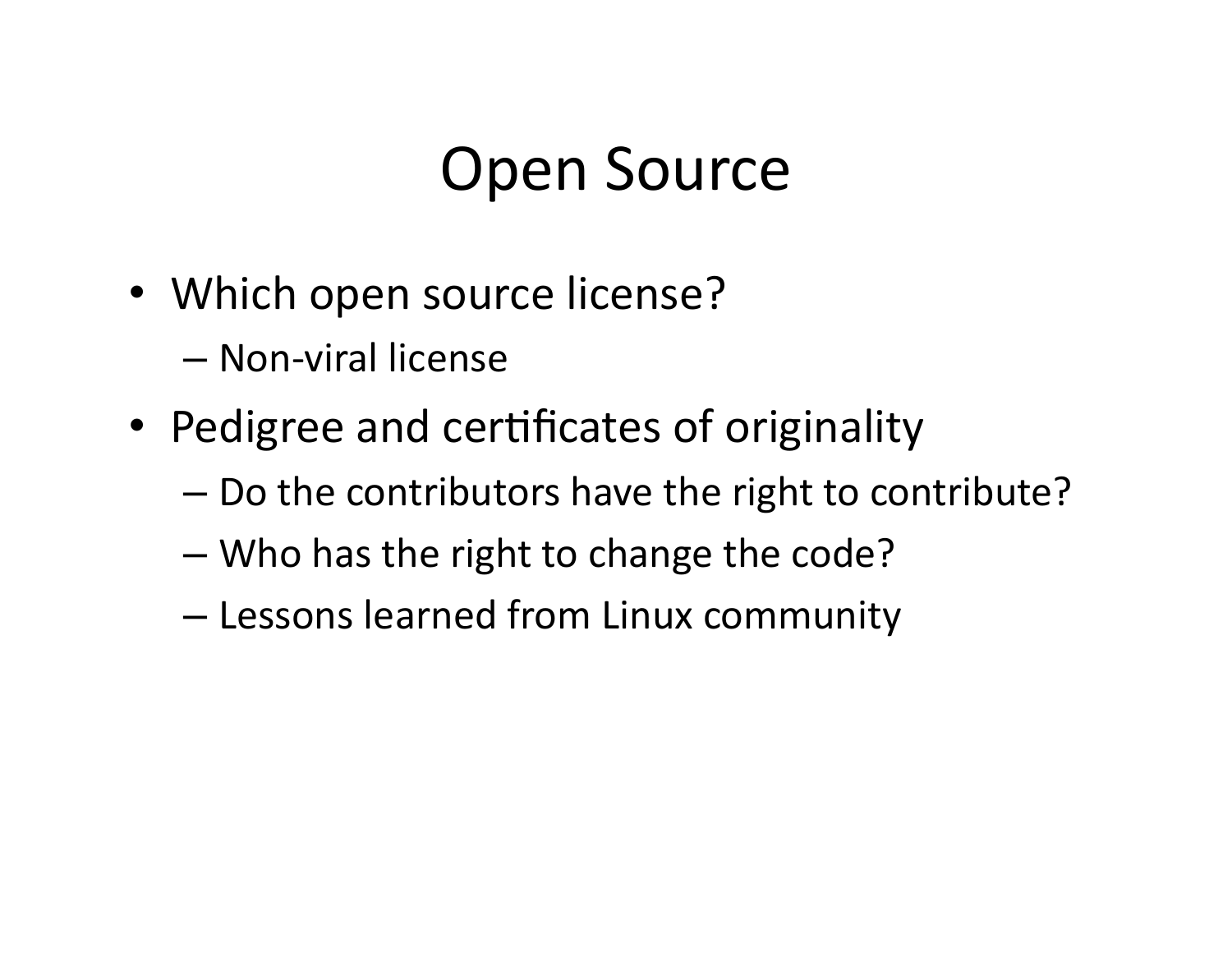## Open Source

- Which open source license?
	- $-$  Non-viral license
- Pedigree and certificates of originality
	- $-$  Do the contributors have the right to contribute?
	- $-$  Who has the right to change the code?
	- $-$  Lessons learned from Linux community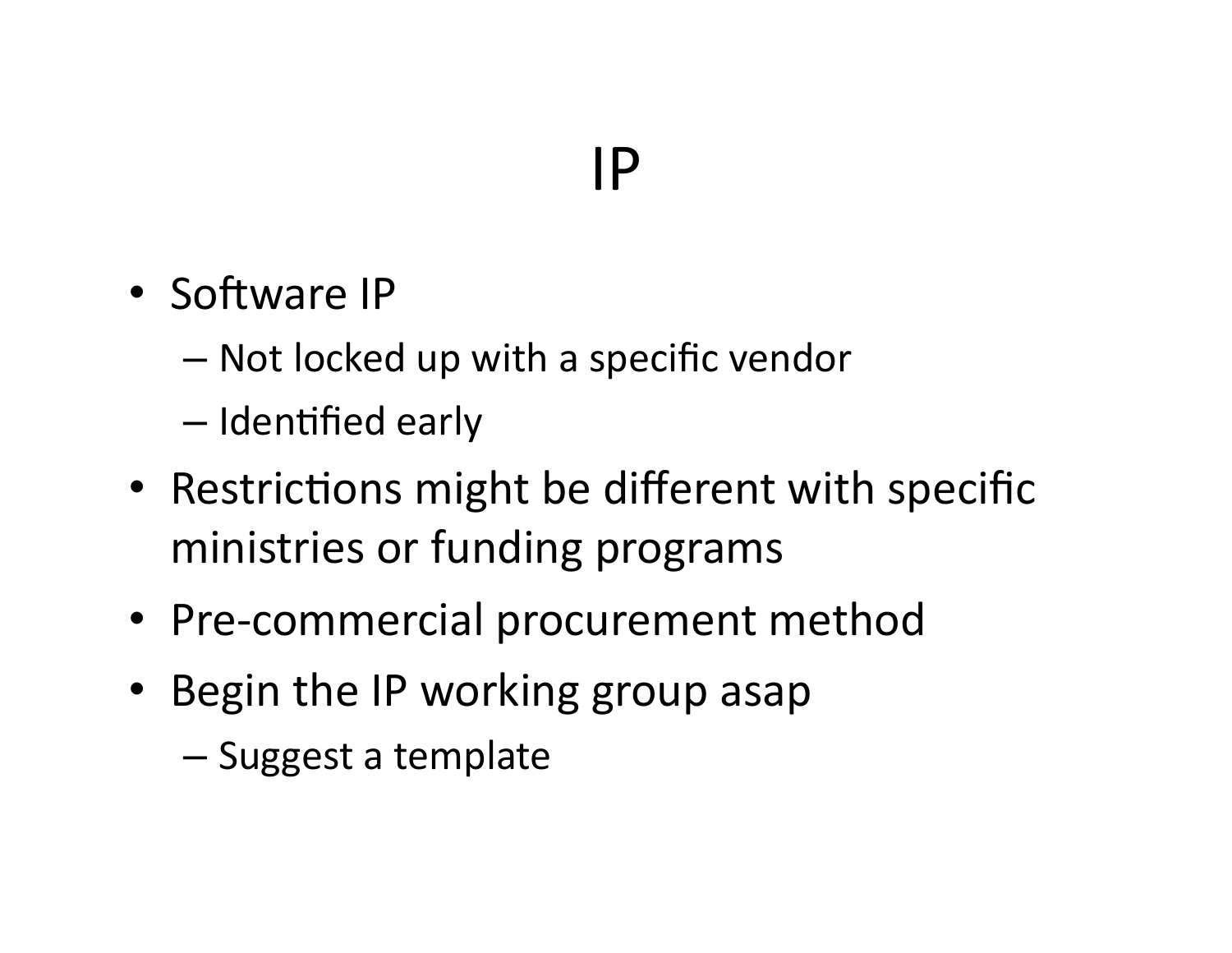## $IP$

- Software IP
	- $-$  Not locked up with a specific vendor
	- $-$  Identified early
- Restrictions might be different with specific ministries or funding programs
- Pre-commercial procurement method
- Begin the IP working group asap
	- $-$  Suggest a template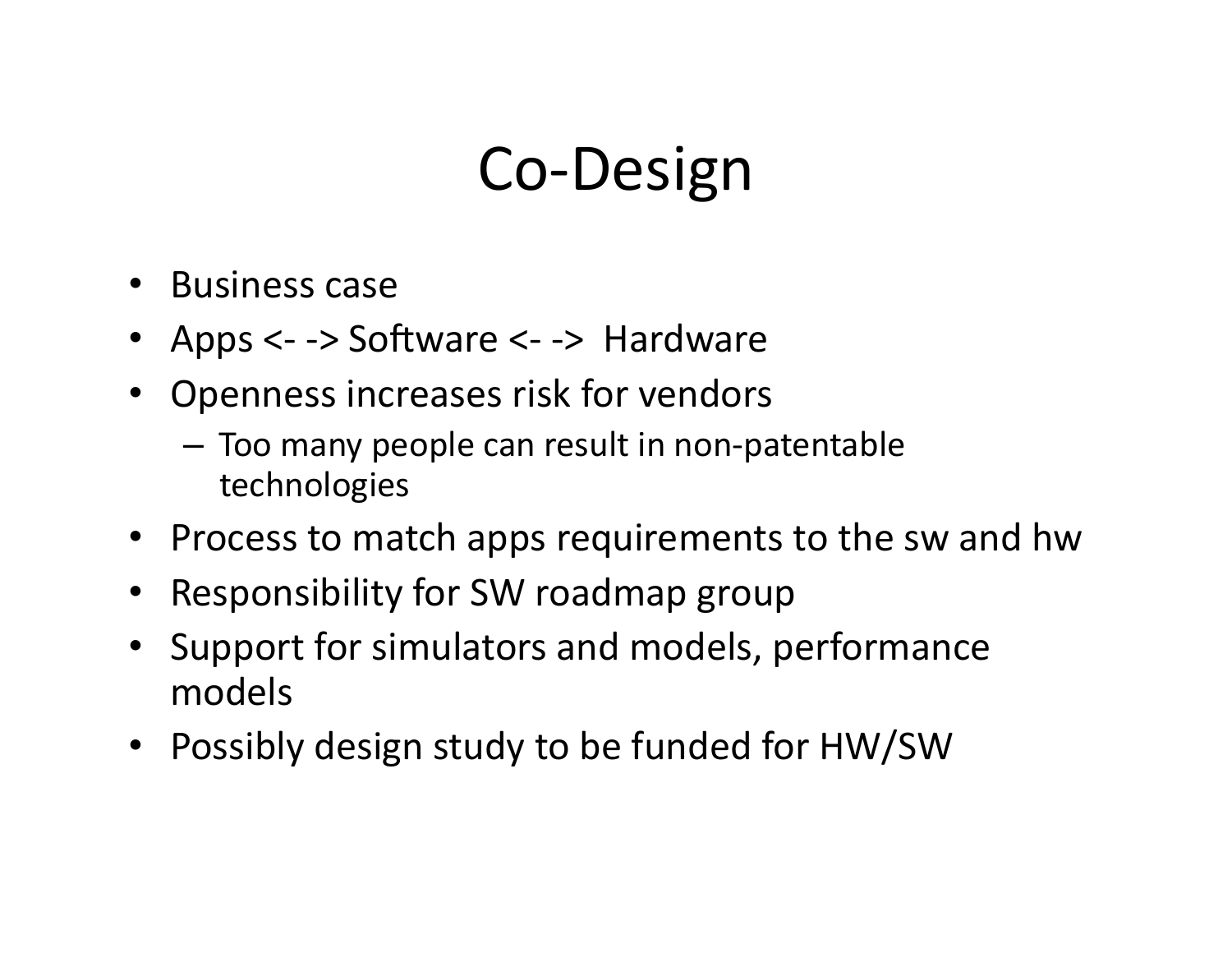## Co-Design

- $\bullet$  Business case
- Apps  $\lt$  -> Software  $\lt$  -> Hardware
- Openness increases risk for vendors
	- $-$  Too many people can result in non-patentable technologies
- Process to match apps requirements to the sw and hw
- Responsibility for SW roadmap group
- Support for simulators and models, performance models
- Possibly design study to be funded for HW/SW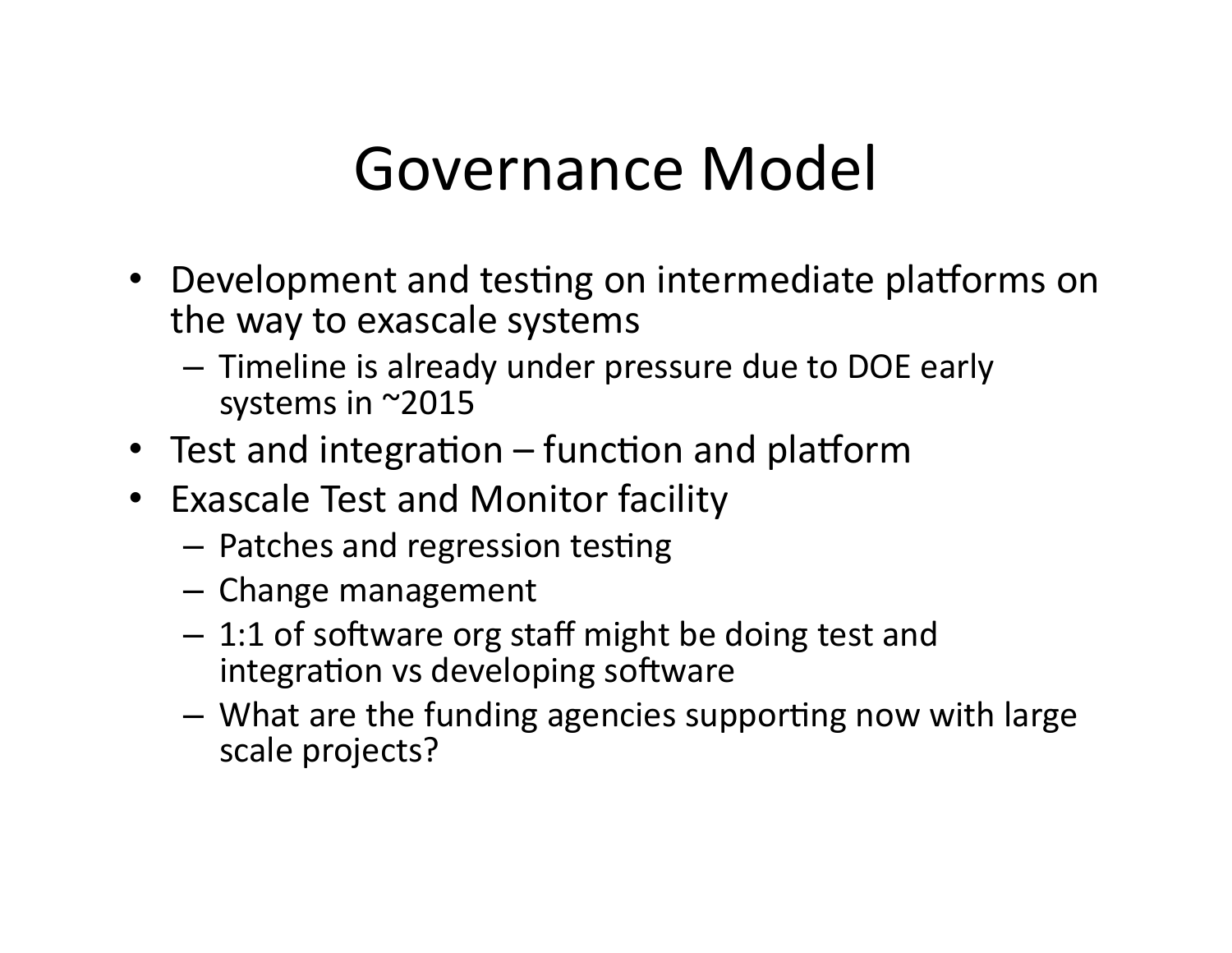## Governance Model

- Development and testing on intermediate platforms on the way to exascale systems
	- $-$  Timeline is already under pressure due to DOE early systems in  $~2015$
- Test and integration function and platform
- Exascale Test and Monitor facility
	- $-$  Patches and regression testing
	- $-$  Change management
	- $-1:1$  of software org staff might be doing test and integration vs developing software
	- $-$  What are the funding agencies supporting now with large scale projects?